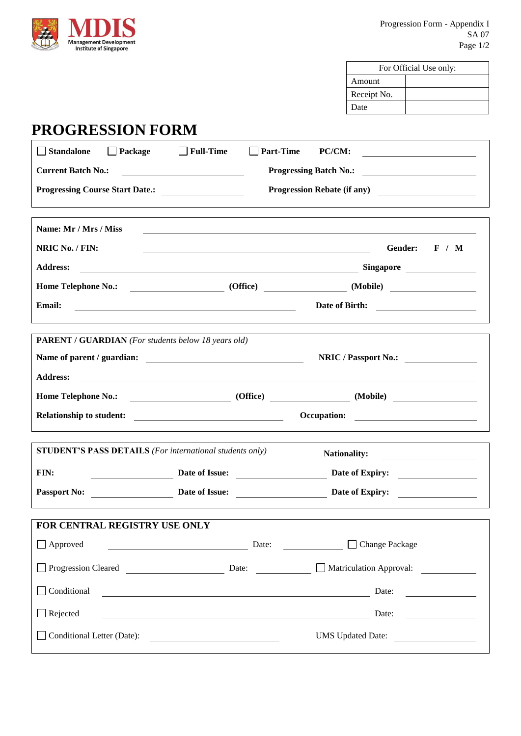

| For Official Use only: |  |
|------------------------|--|
| Amount                 |  |
| Receipt No.            |  |
| Date                   |  |

# **PROGRESSION FORM**

| Standalone<br>$\Box$ Package<br>$\Box$ Full-Time                                                                                                   | $\Box$ Part-Time<br><b>PC/CM:</b><br><u> 1980 - Antonio Alemania, presidente e alemán de la contrada de la contrada de la contrada de la contrada de l</u> |
|----------------------------------------------------------------------------------------------------------------------------------------------------|------------------------------------------------------------------------------------------------------------------------------------------------------------|
| <b>Current Batch No.:</b>                                                                                                                          |                                                                                                                                                            |
|                                                                                                                                                    | Progression Rebate (if any)                                                                                                                                |
|                                                                                                                                                    |                                                                                                                                                            |
| Name: Mr / Mrs / Miss                                                                                                                              |                                                                                                                                                            |
| NRIC No. / FIN:                                                                                                                                    | Gender:<br>F / M<br><u> 1980 - Johann Barn, mars ann an t-Amhain Aonaich an t-Aonaich an t-Aonaich ann an t-Aonaich ann an t-Aonaich</u>                   |
| <b>Address:</b>                                                                                                                                    |                                                                                                                                                            |
|                                                                                                                                                    |                                                                                                                                                            |
| <b>Email:</b><br><u> 1980 - Johann Barn, mars ann an t-Amhain Aonaichte ann an t-Aonaichte ann an t-Aonaichte ann an t-Aonaichte a</u>             | Date of Birth:                                                                                                                                             |
|                                                                                                                                                    |                                                                                                                                                            |
| <b>PARENT / GUARDIAN</b> (For students below 18 years old)                                                                                         |                                                                                                                                                            |
|                                                                                                                                                    | NRIC / Passport No.:                                                                                                                                       |
| <b>Address:</b>                                                                                                                                    |                                                                                                                                                            |
|                                                                                                                                                    |                                                                                                                                                            |
| <b>Relationship to student:</b>                                                                                                                    |                                                                                                                                                            |
| STUDENT'S PASS DETAILS (For international students only)                                                                                           |                                                                                                                                                            |
|                                                                                                                                                    | Nationality:                                                                                                                                               |
| FIN:                                                                                                                                               | Date of Issue: Date of Let not be a part of Expiry:                                                                                                        |
|                                                                                                                                                    | Passport No: <u>Date of Issue: Date of Issue:</u> Date of Expiry:                                                                                          |
| FOR CENTRAL REGISTRY USE ONLY                                                                                                                      |                                                                                                                                                            |
| $\Box$ Approved                                                                                                                                    | □ Change Package<br>Date:                                                                                                                                  |
|                                                                                                                                                    |                                                                                                                                                            |
| Conditional                                                                                                                                        | Date:<br><u> 1989 - Johann Stoff, deutscher Stoffen und der Stoffen und der Stoffen und der Stoffen und der Stoffen und der</u>                            |
| $\Box$ Rejected                                                                                                                                    | Date:<br><u> 1989 - Johann Stoff, deutscher Stoff, der Stoff, der Stoff, der Stoff, der Stoff, der Stoff, der Stoff, der S</u>                             |
| Conditional Letter (Date):<br><u> 1989 - Andrea Albert III, político establecente de la propia de la propia de la propia de la propia de la pr</u> | UMS Updated Date:                                                                                                                                          |